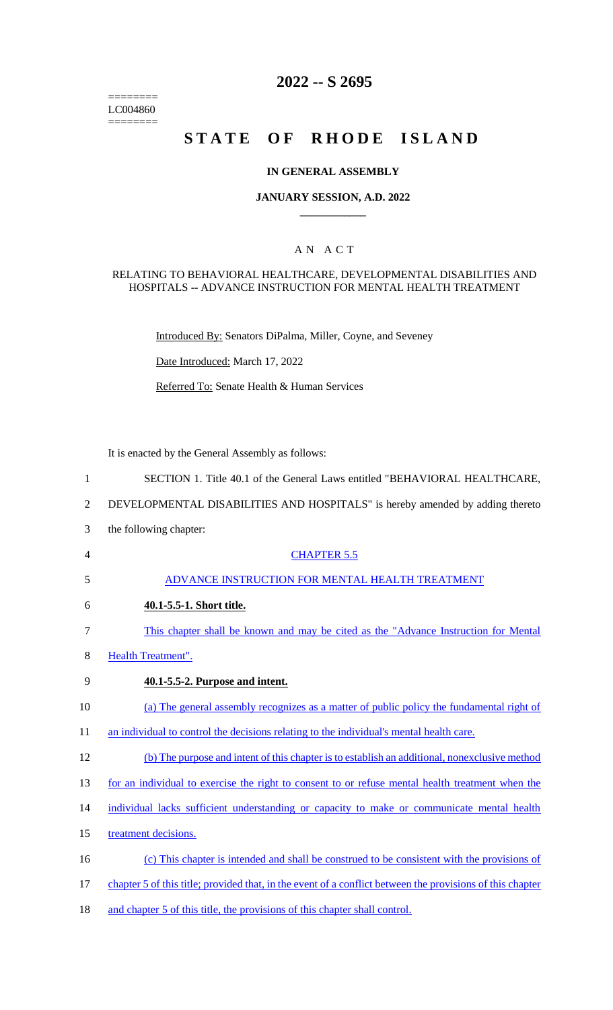======== LC004860 ========

# **2022 -- S 2695**

# **STATE OF RHODE ISLAND**

#### **IN GENERAL ASSEMBLY**

#### **JANUARY SESSION, A.D. 2022 \_\_\_\_\_\_\_\_\_\_\_\_**

## A N A C T

#### RELATING TO BEHAVIORAL HEALTHCARE, DEVELOPMENTAL DISABILITIES AND HOSPITALS -- ADVANCE INSTRUCTION FOR MENTAL HEALTH TREATMENT

Introduced By: Senators DiPalma, Miller, Coyne, and Seveney

Date Introduced: March 17, 2022

Referred To: Senate Health & Human Services

It is enacted by the General Assembly as follows:

- 1 SECTION 1. Title 40.1 of the General Laws entitled "BEHAVIORAL HEALTHCARE,
- 2 DEVELOPMENTAL DISABILITIES AND HOSPITALS" is hereby amended by adding thereto
- 3 the following chapter:
- 4 CHAPTER 5.5
- 5 ADVANCE INSTRUCTION FOR MENTAL HEALTH TREATMENT
- 6 **40.1-5.5-1. Short title.**
- 7 This chapter shall be known and may be cited as the "Advance Instruction for Mental
- 8 Health Treatment".
- 9 **40.1-5.5-2. Purpose and intent.**
- 10 (a) The general assembly recognizes as a matter of public policy the fundamental right of
- 11 an individual to control the decisions relating to the individual's mental health care.

#### 12 (b) The purpose and intent of this chapter is to establish an additional, nonexclusive method

13 for an individual to exercise the right to consent to or refuse mental health treatment when the

- 14 individual lacks sufficient understanding or capacity to make or communicate mental health
- 15 treatment decisions.
- 16 (c) This chapter is intended and shall be construed to be consistent with the provisions of
- 17 chapter 5 of this title; provided that, in the event of a conflict between the provisions of this chapter
- 18 and chapter 5 of this title, the provisions of this chapter shall control.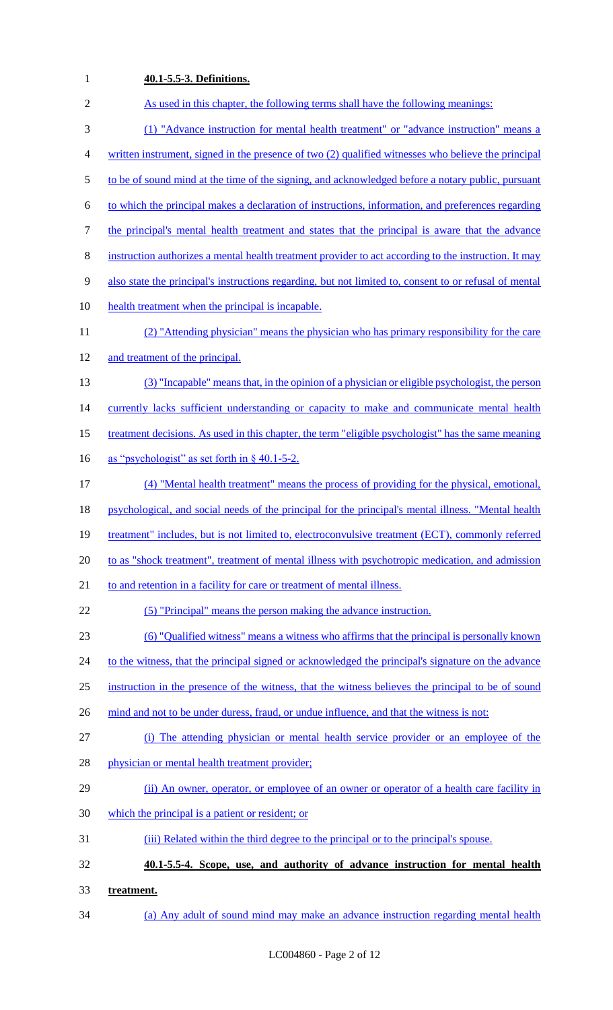| $\mathbf{1}$   | 40.1-5.5-3. Definitions.                                                                               |
|----------------|--------------------------------------------------------------------------------------------------------|
| $\mathfrak{2}$ | As used in this chapter, the following terms shall have the following meanings:                        |
| 3              | (1) "Advance instruction for mental health treatment" or "advance instruction" means a                 |
| 4              | written instrument, signed in the presence of two (2) qualified witnesses who believe the principal    |
| $\mathfrak s$  | to be of sound mind at the time of the signing, and acknowledged before a notary public, pursuant      |
| 6              | to which the principal makes a declaration of instructions, information, and preferences regarding     |
| 7              | the principal's mental health treatment and states that the principal is aware that the advance        |
| $\,8\,$        | instruction authorizes a mental health treatment provider to act according to the instruction. It may  |
| 9              | also state the principal's instructions regarding, but not limited to, consent to or refusal of mental |
| 10             | health treatment when the principal is incapable.                                                      |
| 11             | (2) "Attending physician" means the physician who has primary responsibility for the care              |
| 12             | and treatment of the principal.                                                                        |
| 13             | (3) "Incapable" means that, in the opinion of a physician or eligible psychologist, the person         |
| 14             | currently lacks sufficient understanding or capacity to make and communicate mental health             |
| 15             | treatment decisions. As used in this chapter, the term "eligible psychologist" has the same meaning    |
| 16             | as "psychologist" as set forth in $\S$ 40.1-5-2.                                                       |
| 17             | (4) "Mental health treatment" means the process of providing for the physical, emotional,              |
| 18             | psychological, and social needs of the principal for the principal's mental illness. "Mental health    |
| 19             | treatment" includes, but is not limited to, electroconvulsive treatment (ECT), commonly referred       |
| 20             | to as "shock treatment", treatment of mental illness with psychotropic medication, and admission       |
| 21             | to and retention in a facility for care or treatment of mental illness.                                |
| 22             | (5) "Principal" means the person making the advance instruction.                                       |
| 23             | (6) "Qualified witness" means a witness who affirms that the principal is personally known             |
| 24             | to the witness, that the principal signed or acknowledged the principal's signature on the advance     |
| 25             | instruction in the presence of the witness, that the witness believes the principal to be of sound     |
| 26             | mind and not to be under duress, fraud, or undue influence, and that the witness is not:               |
| 27             | (i) The attending physician or mental health service provider or an employee of the                    |
| 28             | physician or mental health treatment provider;                                                         |
| 29             | (ii) An owner, operator, or employee of an owner or operator of a health care facility in              |
| 30             | which the principal is a patient or resident; or                                                       |
| 31             | (iii) Related within the third degree to the principal or to the principal's spouse.                   |
| 32             | 40.1-5.5-4. Scope, use, and authority of advance instruction for mental health                         |
| 33             | treatment.                                                                                             |
| 34             | (a) Any adult of sound mind may make an advance instruction regarding mental health                    |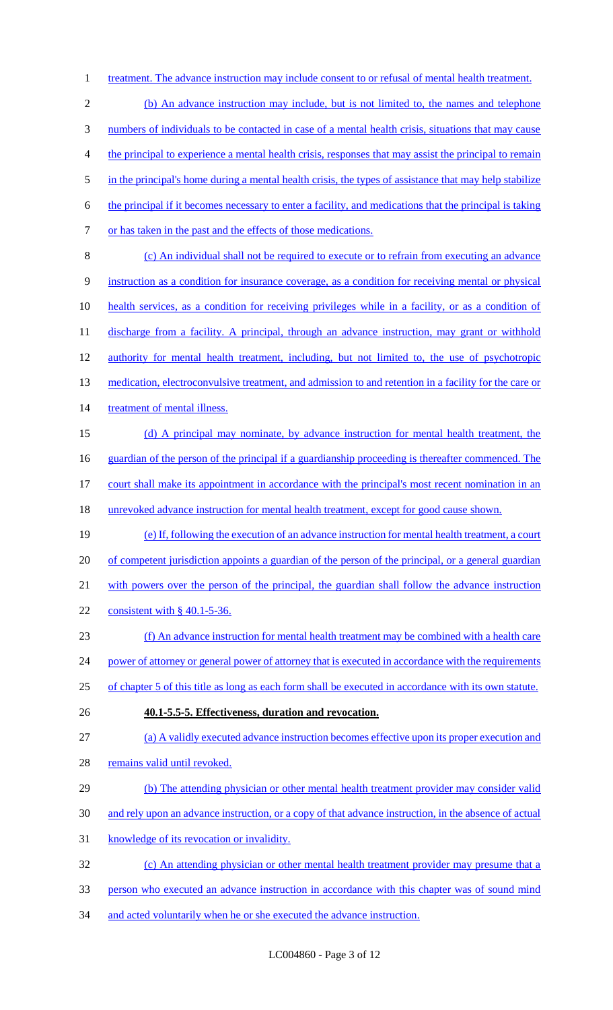1 treatment. The advance instruction may include consent to or refusal of mental health treatment. (b) An advance instruction may include, but is not limited to, the names and telephone numbers of individuals to be contacted in case of a mental health crisis, situations that may cause the principal to experience a mental health crisis, responses that may assist the principal to remain 5 in the principal's home during a mental health crisis, the types of assistance that may help stabilize the principal if it becomes necessary to enter a facility, and medications that the principal is taking or has taken in the past and the effects of those medications. (c) An individual shall not be required to execute or to refrain from executing an advance instruction as a condition for insurance coverage, as a condition for receiving mental or physical health services, as a condition for receiving privileges while in a facility, or as a condition of 11 discharge from a facility. A principal, through an advance instruction, may grant or withhold authority for mental health treatment, including, but not limited to, the use of psychotropic 13 medication, electroconvulsive treatment, and admission to and retention in a facility for the care or treatment of mental illness. (d) A principal may nominate, by advance instruction for mental health treatment, the 16 guardian of the person of the principal if a guardianship proceeding is thereafter commenced. The court shall make its appointment in accordance with the principal's most recent nomination in an unrevoked advance instruction for mental health treatment, except for good cause shown. (e) If, following the execution of an advance instruction for mental health treatment, a court 20 of competent jurisdiction appoints a guardian of the person of the principal, or a general guardian with powers over the person of the principal, the guardian shall follow the advance instruction 22 consistent with § 40.1-5-36. (f) An advance instruction for mental health treatment may be combined with a health care 24 power of attorney or general power of attorney that is executed in accordance with the requirements of chapter 5 of this title as long as each form shall be executed in accordance with its own statute. **40.1-5.5-5. Effectiveness, duration and revocation.**  (a) A validly executed advance instruction becomes effective upon its proper execution and 28 remains valid until revoked. 29 (b) The attending physician or other mental health treatment provider may consider valid and rely upon an advance instruction, or a copy of that advance instruction, in the absence of actual knowledge of its revocation or invalidity. (c) An attending physician or other mental health treatment provider may presume that a person who executed an advance instruction in accordance with this chapter was of sound mind and acted voluntarily when he or she executed the advance instruction.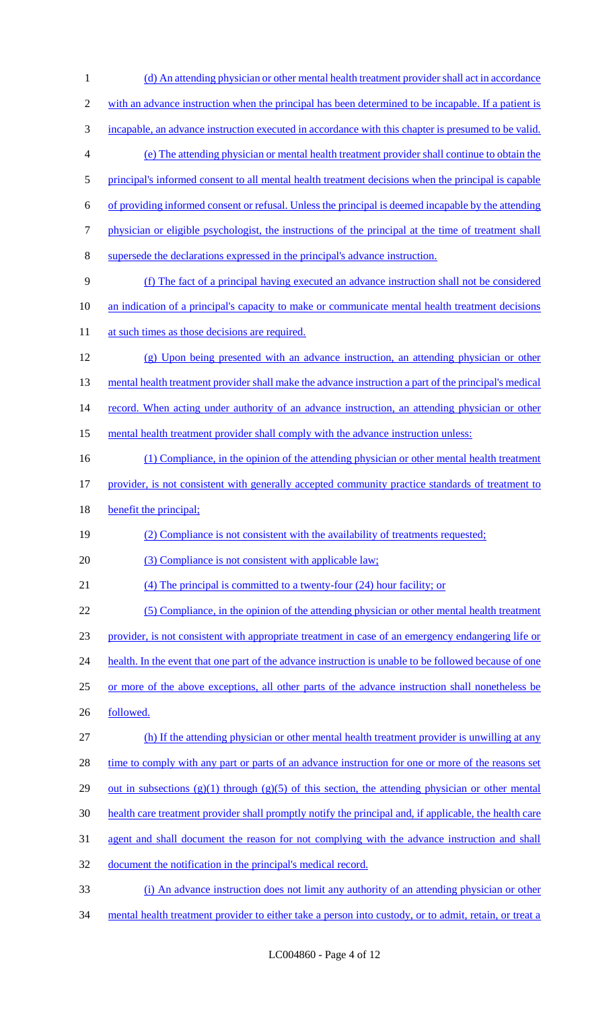(d) An attending physician or other mental health treatment provider shall act in accordance 2 with an advance instruction when the principal has been determined to be incapable. If a patient is incapable, an advance instruction executed in accordance with this chapter is presumed to be valid. (e) The attending physician or mental health treatment provider shall continue to obtain the 5 principal's informed consent to all mental health treatment decisions when the principal is capable of providing informed consent or refusal. Unless the principal is deemed incapable by the attending physician or eligible psychologist, the instructions of the principal at the time of treatment shall supersede the declarations expressed in the principal's advance instruction. (f) The fact of a principal having executed an advance instruction shall not be considered 10 an indication of a principal's capacity to make or communicate mental health treatment decisions 11 at such times as those decisions are required. (g) Upon being presented with an advance instruction, an attending physician or other 13 mental health treatment provider shall make the advance instruction a part of the principal's medical 14 record. When acting under authority of an advance instruction, an attending physician or other mental health treatment provider shall comply with the advance instruction unless: (1) Compliance, in the opinion of the attending physician or other mental health treatment provider, is not consistent with generally accepted community practice standards of treatment to 18 benefit the principal; (2) Compliance is not consistent with the availability of treatments requested; 20 (3) Compliance is not consistent with applicable law; (4) The principal is committed to a twenty-four (24) hour facility; or (5) Compliance, in the opinion of the attending physician or other mental health treatment provider, is not consistent with appropriate treatment in case of an emergency endangering life or 24 health. In the event that one part of the advance instruction is unable to be followed because of one or more of the above exceptions, all other parts of the advance instruction shall nonetheless be followed. (h) If the attending physician or other mental health treatment provider is unwilling at any 28 time to comply with any part or parts of an advance instruction for one or more of the reasons set 29 out in subsections  $(g)(1)$  through  $(g)(5)$  of this section, the attending physician or other mental health care treatment provider shall promptly notify the principal and, if applicable, the health care agent and shall document the reason for not complying with the advance instruction and shall document the notification in the principal's medical record. (i) An advance instruction does not limit any authority of an attending physician or other 34 mental health treatment provider to either take a person into custody, or to admit, retain, or treat a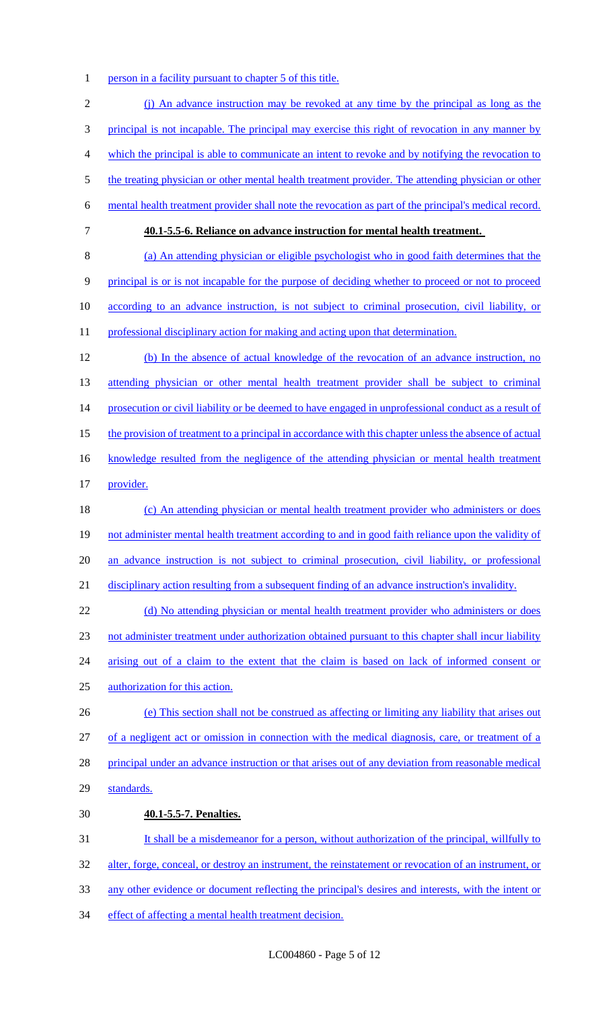1 person in a facility pursuant to chapter 5 of this title.

2 (j) An advance instruction may be revoked at any time by the principal as long as the 3 principal is not incapable. The principal may exercise this right of revocation in any manner by 4 which the principal is able to communicate an intent to revoke and by notifying the revocation to 5 the treating physician or other mental health treatment provider. The attending physician or other 6 mental health treatment provider shall note the revocation as part of the principal's medical record. 7 **40.1-5.5-6. Reliance on advance instruction for mental health treatment.**  8 (a) An attending physician or eligible psychologist who in good faith determines that the 9 principal is or is not incapable for the purpose of deciding whether to proceed or not to proceed 10 according to an advance instruction, is not subject to criminal prosecution, civil liability, or 11 professional disciplinary action for making and acting upon that determination. 12 (b) In the absence of actual knowledge of the revocation of an advance instruction, no 13 attending physician or other mental health treatment provider shall be subject to criminal 14 prosecution or civil liability or be deemed to have engaged in unprofessional conduct as a result of 15 the provision of treatment to a principal in accordance with this chapter unless the absence of actual 16 knowledge resulted from the negligence of the attending physician or mental health treatment 17 provider. 18 (c) An attending physician or mental health treatment provider who administers or does 19 not administer mental health treatment according to and in good faith reliance upon the validity of 20 an advance instruction is not subject to criminal prosecution, civil liability, or professional 21 disciplinary action resulting from a subsequent finding of an advance instruction's invalidity. 22 (d) No attending physician or mental health treatment provider who administers or does 23 not administer treatment under authorization obtained pursuant to this chapter shall incur liability 24 arising out of a claim to the extent that the claim is based on lack of informed consent or 25 authorization for this action. 26 (e) This section shall not be construed as affecting or limiting any liability that arises out 27 of a negligent act or omission in connection with the medical diagnosis, care, or treatment of a 28 principal under an advance instruction or that arises out of any deviation from reasonable medical 29 standards. 30 **40.1-5.5-7. Penalties.**  31 It shall be a misdemeanor for a person, without authorization of the principal, willfully to 32 alter, forge, conceal, or destroy an instrument, the reinstatement or revocation of an instrument, or 33 any other evidence or document reflecting the principal's desires and interests, with the intent or 34 effect of affecting a mental health treatment decision.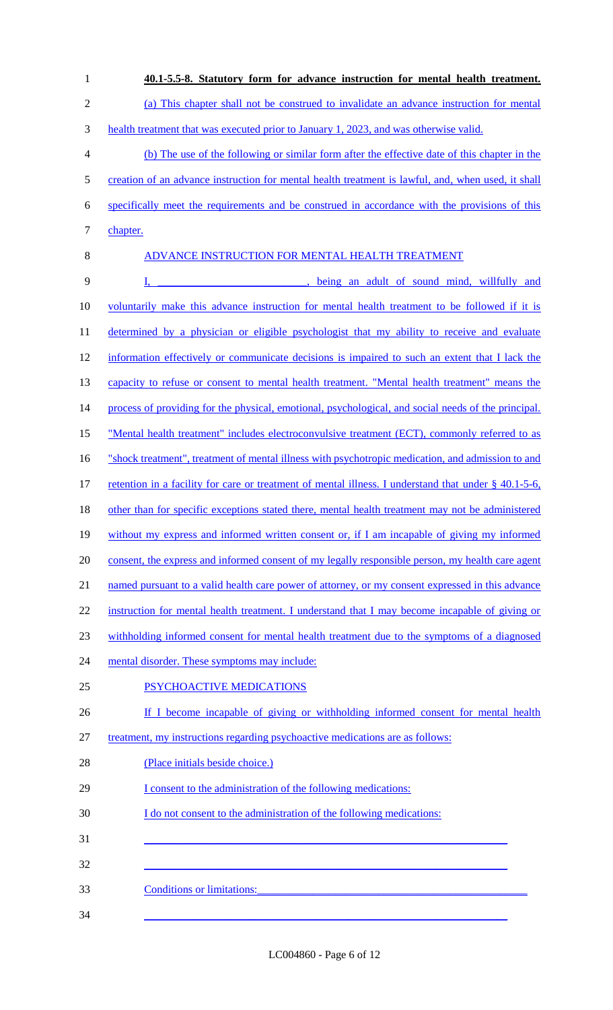| $\mathbf{1}$   | 40.1-5.5-8. Statutory form for advance instruction for mental health treatment.                             |
|----------------|-------------------------------------------------------------------------------------------------------------|
| $\overline{2}$ | (a) This chapter shall not be construed to invalidate an advance instruction for mental                     |
| 3              | health treatment that was executed prior to January 1, 2023, and was otherwise valid.                       |
| 4              | (b) The use of the following or similar form after the effective date of this chapter in the                |
| 5              | creation of an advance instruction for mental health treatment is lawful, and, when used, it shall          |
| 6              | specifically meet the requirements and be construed in accordance with the provisions of this               |
| 7              | chapter.                                                                                                    |
| 8              | ADVANCE INSTRUCTION FOR MENTAL HEALTH TREATMENT                                                             |
| 9              | being an adult of sound mind, willfully and<br>I,                                                           |
| 10             | voluntarily make this advance instruction for mental health treatment to be followed if it is               |
| 11             | determined by a physician or eligible psychologist that my ability to receive and evaluate                  |
| 12             | information effectively or communicate decisions is impaired to such an extent that I lack the              |
| 13             | capacity to refuse or consent to mental health treatment. "Mental health treatment" means the               |
| 14             | process of providing for the physical, emotional, psychological, and social needs of the principal.         |
| 15             | "Mental health treatment" includes electroconvulsive treatment (ECT), commonly referred to as               |
| 16             | "shock treatment", treatment of mental illness with psychotropic medication, and admission to and           |
| 17             | <u>retention in a facility for care or treatment of mental illness. I understand that under § 40.1-5-6,</u> |
| 18             | other than for specific exceptions stated there, mental health treatment may not be administered            |
| 19             | without my express and informed written consent or, if I am incapable of giving my informed                 |
| 20             | consent, the express and informed consent of my legally responsible person, my health care agent            |
| 21             | named pursuant to a valid health care power of attorney, or my consent expressed in this advance            |
| 22             | instruction for mental health treatment. I understand that I may become incapable of giving or              |
| 23             | withholding informed consent for mental health treatment due to the symptoms of a diagnosed                 |
| 24             | mental disorder. These symptoms may include:                                                                |
| 25             | PSYCHOACTIVE MEDICATIONS                                                                                    |
| 26             | If I become incapable of giving or withholding informed consent for mental health                           |
| 27             | treatment, my instructions regarding psychoactive medications are as follows:                               |
| 28             | (Place initials beside choice.)                                                                             |
| 29             | I consent to the administration of the following medications:                                               |
| 30             | I do not consent to the administration of the following medications:                                        |
| 31             |                                                                                                             |
| 32             |                                                                                                             |
| 33             | <b>Conditions or limitations:</b>                                                                           |
| 34             |                                                                                                             |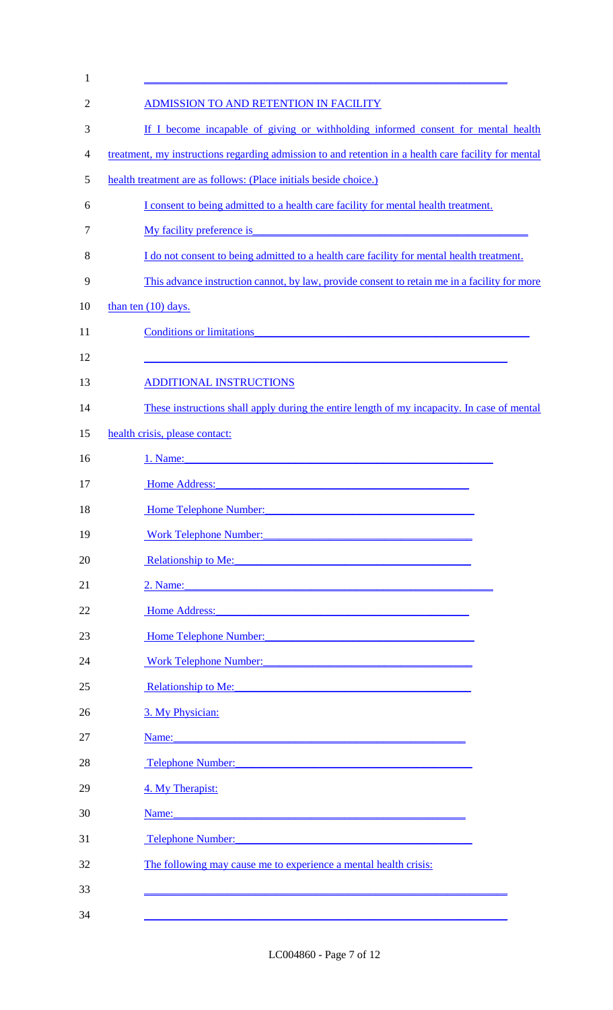| $\mathbf{1}$   |                                                                                                                                                                                                                                      |
|----------------|--------------------------------------------------------------------------------------------------------------------------------------------------------------------------------------------------------------------------------------|
| $\overline{2}$ | ADMISSION TO AND RETENTION IN FACILITY                                                                                                                                                                                               |
| 3              | If I become incapable of giving or withholding informed consent for mental health                                                                                                                                                    |
| 4              | treatment, my instructions regarding admission to and retention in a health care facility for mental                                                                                                                                 |
| 5              | health treatment are as follows: (Place initials beside choice.)                                                                                                                                                                     |
| 6              | I consent to being admitted to a health care facility for mental health treatment.                                                                                                                                                   |
| 7              | My facility preference is                                                                                                                                                                                                            |
| 8              | I do not consent to being admitted to a health care facility for mental health treatment.                                                                                                                                            |
| 9              | This advance instruction cannot, by law, provide consent to retain me in a facility for more                                                                                                                                         |
| 10             | than ten $(10)$ days.                                                                                                                                                                                                                |
| 11             | <b>Conditions or limitations</b>                                                                                                                                                                                                     |
| 12             |                                                                                                                                                                                                                                      |
| 13             | <b>ADDITIONAL INSTRUCTIONS</b>                                                                                                                                                                                                       |
| 14             | These instructions shall apply during the entire length of my incapacity. In case of mental                                                                                                                                          |
| 15             | health crisis, please contact:                                                                                                                                                                                                       |
| 16             | <u>1. Name:</u> The Communication of the Communication of the Communication of the Communication of the Communication of the Communication of the Communication of the Communication of the Communication of the Communication of t  |
| 17             | Home Address:                                                                                                                                                                                                                        |
| 18             | Home Telephone Number:                                                                                                                                                                                                               |
| 19             | Work Telephone Number:                                                                                                                                                                                                               |
| 20             | Relationship to Me:                                                                                                                                                                                                                  |
| 21             | 2. Name:                                                                                                                                                                                                                             |
| 22             | Home Address: <u>Alexander Communication</u> and the Address of The Address and The Address of The Address of The Address of The Address of The Address of The Address of The Address of The Address of The Address of The Address   |
| 23             | Home Telephone Number:                                                                                                                                                                                                               |
| 24             | Work Telephone Number: Manual According to the Manual According to the Manual According to the Manual According to the Manual According to the Manual According to the Manual According to the Manual According to the Manual        |
| 25             | Relationship to Me:                                                                                                                                                                                                                  |
| 26             | 3. My Physician:                                                                                                                                                                                                                     |
| 27             | Name: 2008. [2016] 2016. [2016] 2016. [2016] 2016. [2016] 2016. [2016] 2016. [2016] 2016. [2016] 2016. [2016] 2016. [2016] 2016. [2016] 2016. [2016] 2016. [2016] 2016. [2016] 2016. [2016] 2016. [2016] 2016. [2016] 2016. [2       |
| 28             | Telephone Number: New York Contains the Contains of the Contains of the Contains of the Contains of the Contains of the Contains of the Contains of the Contains of the Contains of the Contains of the Contains of the Contai       |
| 29             | 4. My Therapist:                                                                                                                                                                                                                     |
| 30             | <u>Name: 2008 - 2008 - 2008 - 2008 - 2008 - 2008 - 2008 - 2008 - 2008 - 2008 - 2008 - 2008 - 2008 - 2008 - 2008 - 2008 - 2008 - 2008 - 2008 - 2008 - 2008 - 2008 - 2008 - 2008 - 2008 - 2008 - 2008 - 2008 - 2008 - 2008 - 2008 </u> |
| 31             | Telephone Number: The Contract of the Contract of the Contract of the Contract of the Contract of the Contract of the Contract of the Contract of the Contract of the Contract of the Contract of the Contract of the Contract       |
| 32             | The following may cause me to experience a mental health crisis:                                                                                                                                                                     |
| 33             |                                                                                                                                                                                                                                      |
| 34             |                                                                                                                                                                                                                                      |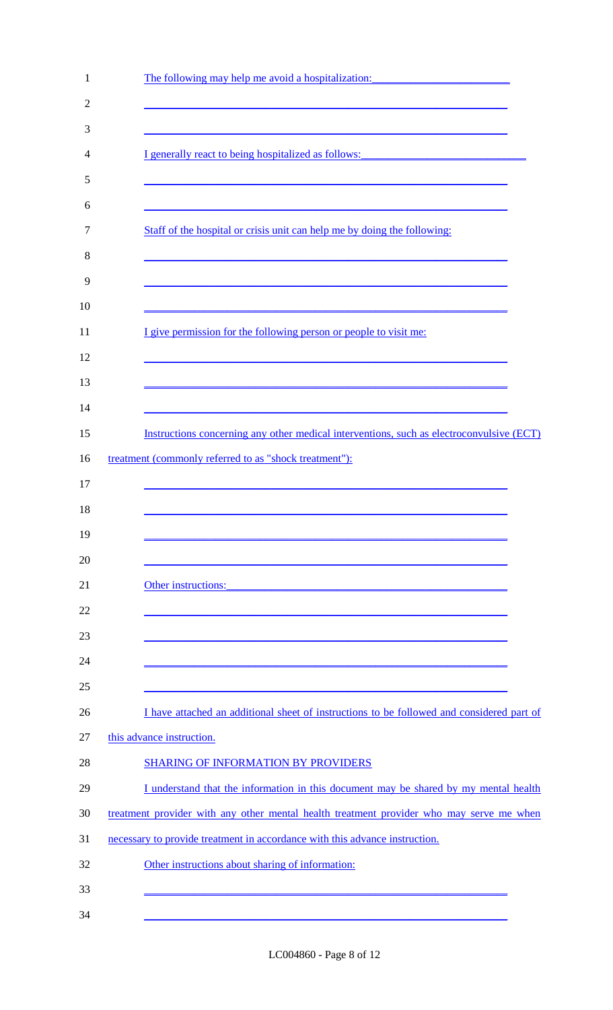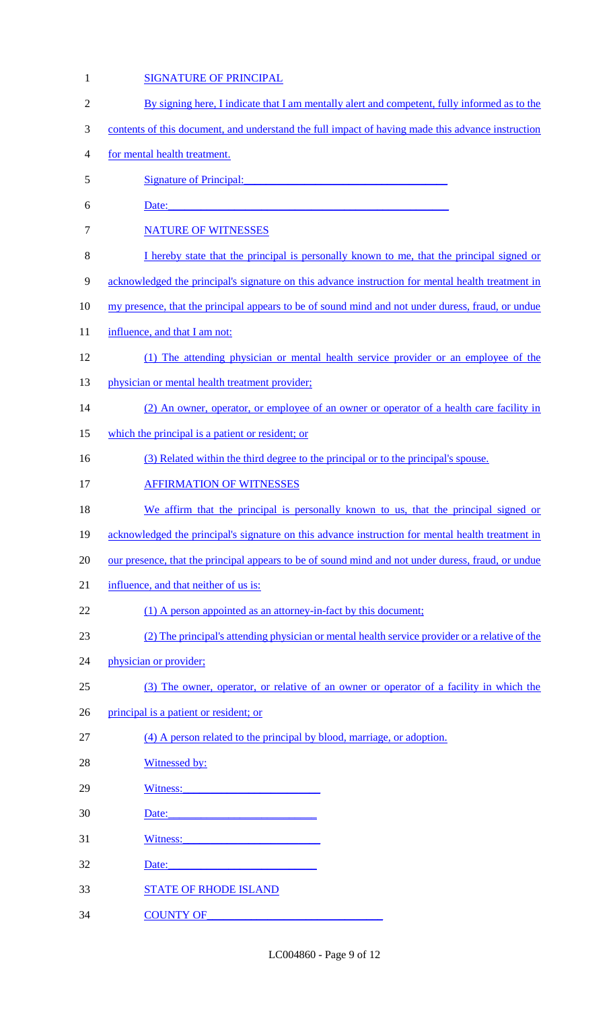| $\mathbf{1}$             | <b>SIGNATURE OF PRINCIPAL</b>                                                                                                                                                                                                  |
|--------------------------|--------------------------------------------------------------------------------------------------------------------------------------------------------------------------------------------------------------------------------|
| $\mathfrak{2}$           | By signing here, I indicate that I am mentally alert and competent, fully informed as to the                                                                                                                                   |
| 3                        | contents of this document, and understand the full impact of having made this advance instruction                                                                                                                              |
| $\overline{\mathcal{A}}$ | for mental health treatment.                                                                                                                                                                                                   |
| 5                        | <b>Signature of Principal:</b>                                                                                                                                                                                                 |
| 6                        | Date:                                                                                                                                                                                                                          |
| 7                        | <b>NATURE OF WITNESSES</b>                                                                                                                                                                                                     |
| 8                        | I hereby state that the principal is personally known to me, that the principal signed or                                                                                                                                      |
| 9                        | acknowledged the principal's signature on this advance instruction for mental health treatment in                                                                                                                              |
| 10                       | my presence, that the principal appears to be of sound mind and not under duress, fraud, or undue                                                                                                                              |
| 11                       | influence, and that I am not:                                                                                                                                                                                                  |
| 12                       | (1) The attending physician or mental health service provider or an employee of the                                                                                                                                            |
| 13                       | physician or mental health treatment provider;                                                                                                                                                                                 |
| 14                       | (2) An owner, operator, or employee of an owner or operator of a health care facility in                                                                                                                                       |
| 15                       | which the principal is a patient or resident; or                                                                                                                                                                               |
| 16                       | (3) Related within the third degree to the principal or to the principal's spouse.                                                                                                                                             |
| 17                       | <b>AFFIRMATION OF WITNESSES</b>                                                                                                                                                                                                |
| 18                       | We affirm that the principal is personally known to us, that the principal signed or                                                                                                                                           |
| 19                       | acknowledged the principal's signature on this advance instruction for mental health treatment in                                                                                                                              |
| 20                       | our presence, that the principal appears to be of sound mind and not under duress, fraud, or undue                                                                                                                             |
| 21                       | influence, and that neither of us is:                                                                                                                                                                                          |
| 22                       | (1) A person appointed as an attorney-in-fact by this document;                                                                                                                                                                |
| 23                       | (2) The principal's attending physician or mental health service provider or a relative of the                                                                                                                                 |
| 24                       | physician or provider;                                                                                                                                                                                                         |
| 25                       | (3) The owner, operator, or relative of an owner or operator of a facility in which the                                                                                                                                        |
| 26                       | principal is a patient or resident; or                                                                                                                                                                                         |
| 27                       | (4) A person related to the principal by blood, marriage, or adoption.                                                                                                                                                         |
| 28                       | Witnessed by:                                                                                                                                                                                                                  |
| 29                       | Witness: Witness:                                                                                                                                                                                                              |
| 30                       | <u> 1980 - Johann Barn, mars ann an t-A</u><br>Date:                                                                                                                                                                           |
| 31                       | Witness: Witness:                                                                                                                                                                                                              |
|                          |                                                                                                                                                                                                                                |
| 32                       | Date: the contract of the contract of the contract of the contract of the contract of the contract of the contract of the contract of the contract of the contract of the contract of the contract of the contract of the cont |
| 33                       | <b>STATE OF RHODE ISLAND</b>                                                                                                                                                                                                   |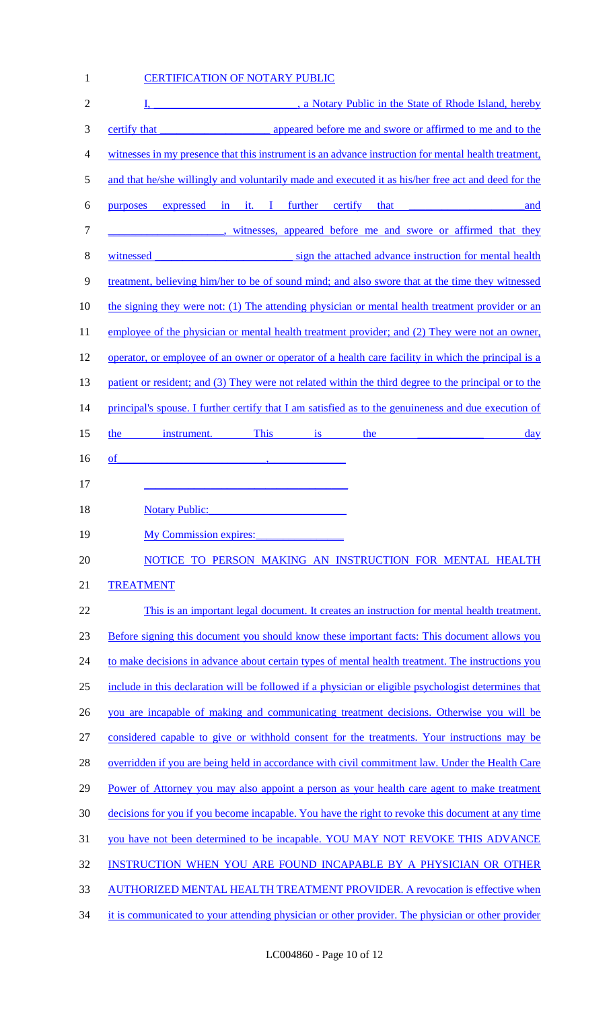| $\mathbf{1}$             | <b>CERTIFICATION OF NOTARY PUBLIC</b>                                                                                                                                                                                                |
|--------------------------|--------------------------------------------------------------------------------------------------------------------------------------------------------------------------------------------------------------------------------------|
| $\mathfrak{2}$           |                                                                                                                                                                                                                                      |
| 3                        | <u>certify that <b>of a set of a separed</b></u> before me and swore or affirmed to me and to the                                                                                                                                    |
| $\overline{\mathcal{A}}$ | witnesses in my presence that this instrument is an advance instruction for mental health treatment,                                                                                                                                 |
| 5                        | and that he/she willingly and voluntarily made and executed it as his/her free act and deed for the                                                                                                                                  |
| 6                        | in it. I further certify that<br>expressed<br>purposes<br>and                                                                                                                                                                        |
| $\overline{7}$           | witnesses, appeared before me and swore or affirmed that they                                                                                                                                                                        |
| $8\,$                    | sign the attached advance instruction for mental health<br>witnessed                                                                                                                                                                 |
| $\mathbf{9}$             | treatment, believing him/her to be of sound mind; and also swore that at the time they witnessed                                                                                                                                     |
| 10                       | the signing they were not: (1) The attending physician or mental health treatment provider or an                                                                                                                                     |
| 11                       | employee of the physician or mental health treatment provider; and (2) They were not an owner,                                                                                                                                       |
| 12                       | operator, or employee of an owner or operator of a health care facility in which the principal is a                                                                                                                                  |
| 13                       | patient or resident; and (3) They were not related within the third degree to the principal or to the                                                                                                                                |
| 14                       | principal's spouse. I further certify that I am satisfied as to the genuineness and due execution of                                                                                                                                 |
| 15                       | <b>This</b><br>instrument.<br>the<br>is<br>the<br>day                                                                                                                                                                                |
| 16                       | <u> 1989 - Johann John Stein, mars an Amerikaansk kommunister (</u><br>of                                                                                                                                                            |
| 17                       | <u> 1989 - Johann John Stone, mars and de finland of the store of the store of the store of the store of the store of the store of the store of the store of the store of the store of the store of the store of the store of th</u> |
| 18                       | <b>Notary Public:</b>                                                                                                                                                                                                                |
| 19                       | <b>My Commission expires:</b>                                                                                                                                                                                                        |
| 20                       | NOTICE TO PERSON MAKING AN INSTRUCTION FOR MENTAL HEALTH                                                                                                                                                                             |
| 21                       | <b>TREATMENT</b>                                                                                                                                                                                                                     |
| 22                       | This is an important legal document. It creates an instruction for mental health treatment.                                                                                                                                          |
| 23                       | Before signing this document you should know these important facts: This document allows you                                                                                                                                         |
| 24                       | to make decisions in advance about certain types of mental health treatment. The instructions you                                                                                                                                    |
| 25                       | include in this declaration will be followed if a physician or eligible psychologist determines that                                                                                                                                 |
| 26                       | you are incapable of making and communicating treatment decisions. Otherwise you will be                                                                                                                                             |
| 27                       | considered capable to give or withhold consent for the treatments. Your instructions may be                                                                                                                                          |
| 28                       | overridden if you are being held in accordance with civil commitment law. Under the Health Care                                                                                                                                      |
| 29                       | Power of Attorney you may also appoint a person as your health care agent to make treatment                                                                                                                                          |
| 30                       | decisions for you if you become incapable. You have the right to revoke this document at any time                                                                                                                                    |
| 31                       | you have not been determined to be incapable. YOU MAY NOT REVOKE THIS ADVANCE                                                                                                                                                        |
| 32                       | INSTRUCTION WHEN YOU ARE FOUND INCAPABLE BY A PHYSICIAN OR OTHER                                                                                                                                                                     |
| 33                       | <b>AUTHORIZED MENTAL HEALTH TREATMENT PROVIDER. A revocation is effective when</b>                                                                                                                                                   |
| 34                       | it is communicated to your attending physician or other provider. The physician or other provider                                                                                                                                    |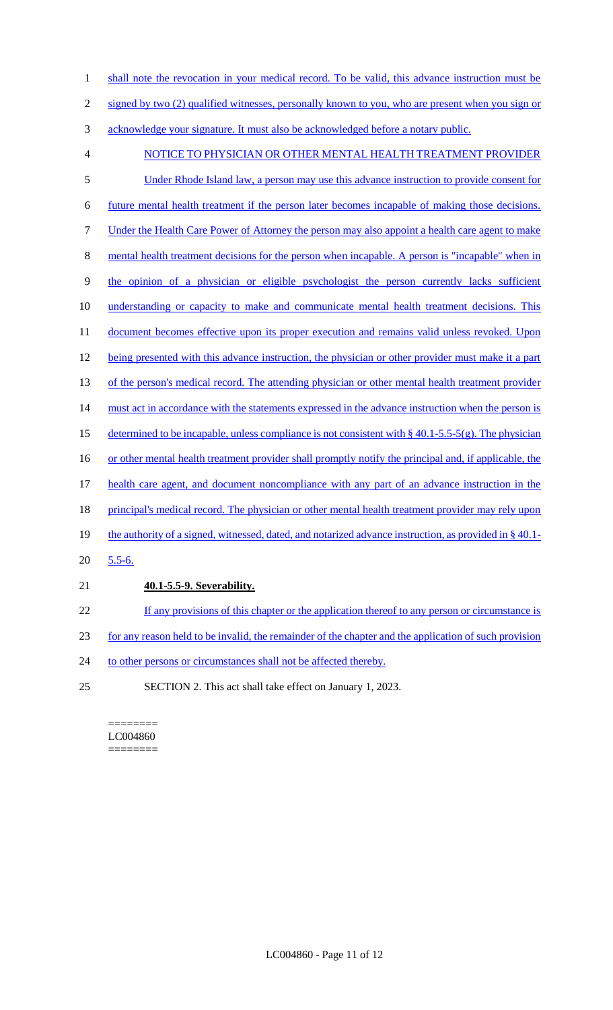- 1 shall note the revocation in your medical record. To be valid, this advance instruction must be
- 2 signed by two (2) qualified witnesses, personally known to you, who are present when you sign or
- 3 acknowledge your signature. It must also be acknowledged before a notary public.
- 4 NOTICE TO PHYSICIAN OR OTHER MENTAL HEALTH TREATMENT PROVIDER 5 Under Rhode Island law, a person may use this advance instruction to provide consent for 6 future mental health treatment if the person later becomes incapable of making those decisions. 7 Under the Health Care Power of Attorney the person may also appoint a health care agent to make 8 mental health treatment decisions for the person when incapable. A person is "incapable" when in 9 the opinion of a physician or eligible psychologist the person currently lacks sufficient 10 understanding or capacity to make and communicate mental health treatment decisions. This 11 document becomes effective upon its proper execution and remains valid unless revoked. Upon 12 being presented with this advance instruction, the physician or other provider must make it a part 13 of the person's medical record. The attending physician or other mental health treatment provider 14 must act in accordance with the statements expressed in the advance instruction when the person is 15 determined to be incapable, unless compliance is not consistent with  $\S$  40.1-5.5-5(g). The physician 16 or other mental health treatment provider shall promptly notify the principal and, if applicable, the 17 health care agent, and document noncompliance with any part of an advance instruction in the 18 principal's medical record. The physician or other mental health treatment provider may rely upon 19 the authority of a signed, witnessed, dated, and notarized advance instruction, as provided in § 40.1-20 5.5-6. 21 **40.1-5.5-9. Severability.**  22 If any provisions of this chapter or the application thereof to any person or circumstance is 23 for any reason held to be invalid, the remainder of the chapter and the application of such provision 24 to other persons or circumstances shall not be affected thereby.
- 25 SECTION 2. This act shall take effect on January 1, 2023.

======== LC004860 ========